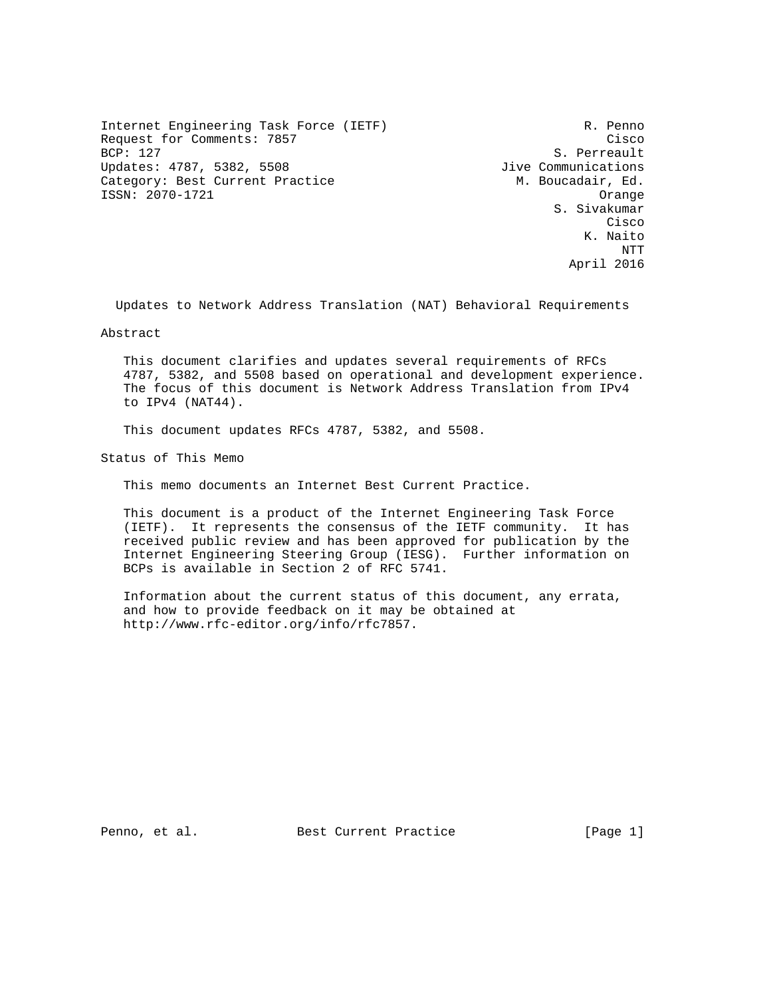Internet Engineering Task Force (IETF) R. Penno Request for Comments: 7857 Cisco BCP: 127 S. Perreault Updates: 4787, 5382, 5508 Jive Communications Category: Best Current Practice M. Boucadair, Ed. ISSN: 2070-1721 Orange

 S. Sivakumar **Cisco de la contrata de la contrata de la contrata de la contrata de la contrata de la contrata de la contrat**  K. Naito NTT April 2016

Updates to Network Address Translation (NAT) Behavioral Requirements

Abstract

 This document clarifies and updates several requirements of RFCs 4787, 5382, and 5508 based on operational and development experience. The focus of this document is Network Address Translation from IPv4 to IPv4 (NAT44).

This document updates RFCs 4787, 5382, and 5508.

Status of This Memo

This memo documents an Internet Best Current Practice.

 This document is a product of the Internet Engineering Task Force (IETF). It represents the consensus of the IETF community. It has received public review and has been approved for publication by the Internet Engineering Steering Group (IESG). Further information on BCPs is available in Section 2 of RFC 5741.

 Information about the current status of this document, any errata, and how to provide feedback on it may be obtained at http://www.rfc-editor.org/info/rfc7857.

Penno, et al. Best Current Practice [Page 1]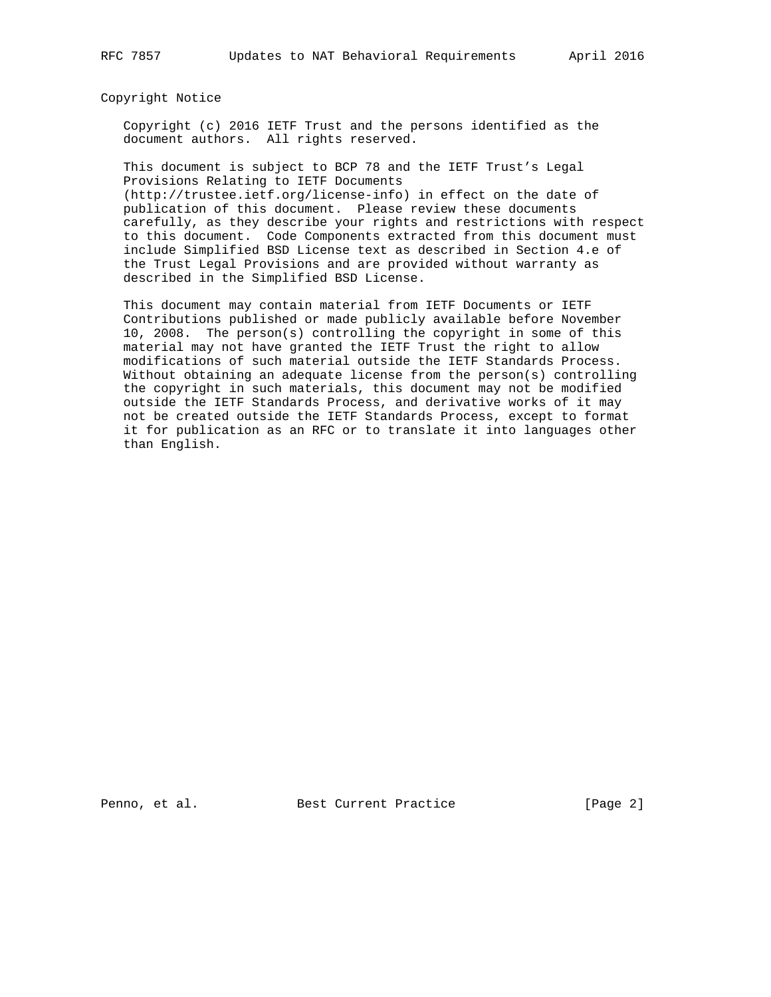#### Copyright Notice

 Copyright (c) 2016 IETF Trust and the persons identified as the document authors. All rights reserved.

 This document is subject to BCP 78 and the IETF Trust's Legal Provisions Relating to IETF Documents

 (http://trustee.ietf.org/license-info) in effect on the date of publication of this document. Please review these documents carefully, as they describe your rights and restrictions with respect to this document. Code Components extracted from this document must include Simplified BSD License text as described in Section 4.e of the Trust Legal Provisions and are provided without warranty as described in the Simplified BSD License.

 This document may contain material from IETF Documents or IETF Contributions published or made publicly available before November 10, 2008. The person(s) controlling the copyright in some of this material may not have granted the IETF Trust the right to allow modifications of such material outside the IETF Standards Process. Without obtaining an adequate license from the person(s) controlling the copyright in such materials, this document may not be modified outside the IETF Standards Process, and derivative works of it may not be created outside the IETF Standards Process, except to format it for publication as an RFC or to translate it into languages other than English.

Penno, et al. Best Current Practice [Page 2]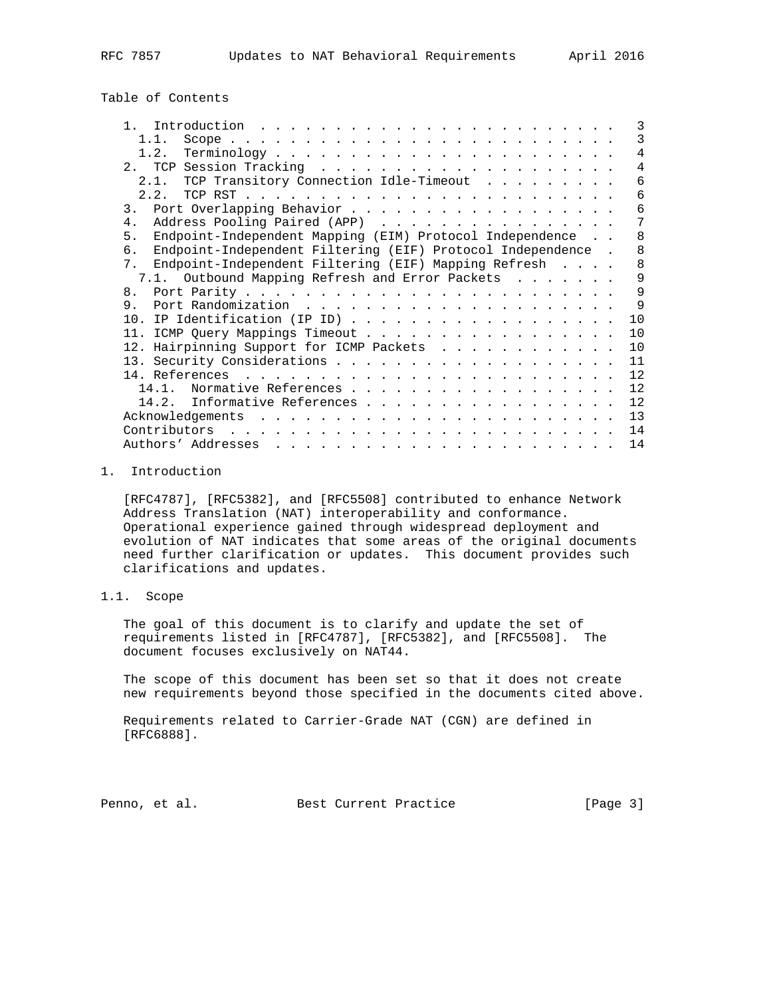# Table of Contents

| $\mathbf{1}$   |                                                             | 3              |
|----------------|-------------------------------------------------------------|----------------|
|                | 1.1.                                                        | 3              |
|                |                                                             | 4              |
|                |                                                             | $\overline{4}$ |
|                | 2.1. TCP Transitory Connection Idle-Timeout                 | 6              |
|                | $2 \t2$                                                     | 6              |
| 3.             |                                                             | 6              |
| 4.             | Address Pooling Paired (APP)                                | 7              |
| 5.             | Endpoint-Independent Mapping (EIM) Protocol Independence    | 8              |
| რ.             | Endpoint-Independent Filtering (EIF) Protocol Independence. | 8              |
| 7 <sub>1</sub> | Endpoint-Independent Filtering (EIF) Mapping Refresh        | 8              |
|                | 7.1. Outbound Mapping Refresh and Error Packets             | 9              |
| 8 <sub>1</sub> |                                                             | 9              |
| 9.             |                                                             | 9              |
|                |                                                             | 10             |
|                | 11. ICMP Query Mappings Timeout                             | 10             |
|                | 12. Hairpinning Support for ICMP Packets                    | 10             |
|                |                                                             | 11             |
|                |                                                             | 12             |
|                | Normative References<br>14 1                                | 12             |
|                | 14.2. Informative References                                | 12             |
|                |                                                             | 13             |
|                | Contributors                                                | 14             |
|                | Authors' Addresses                                          | 14             |

### 1. Introduction

 [RFC4787], [RFC5382], and [RFC5508] contributed to enhance Network Address Translation (NAT) interoperability and conformance. Operational experience gained through widespread deployment and evolution of NAT indicates that some areas of the original documents need further clarification or updates. This document provides such clarifications and updates.

# 1.1. Scope

 The goal of this document is to clarify and update the set of requirements listed in [RFC4787], [RFC5382], and [RFC5508]. The document focuses exclusively on NAT44.

 The scope of this document has been set so that it does not create new requirements beyond those specified in the documents cited above.

 Requirements related to Carrier-Grade NAT (CGN) are defined in [RFC6888].

Penno, et al. Best Current Practice [Page 3]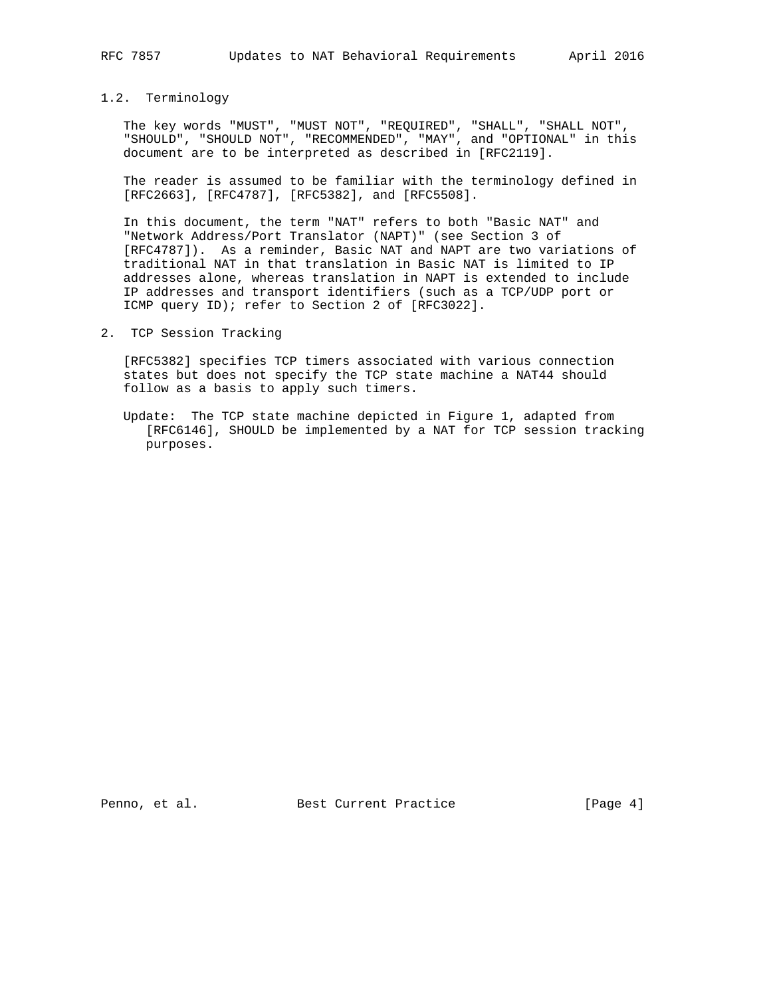# 1.2. Terminology

 The key words "MUST", "MUST NOT", "REQUIRED", "SHALL", "SHALL NOT", "SHOULD", "SHOULD NOT", "RECOMMENDED", "MAY", and "OPTIONAL" in this document are to be interpreted as described in [RFC2119].

 The reader is assumed to be familiar with the terminology defined in [RFC2663], [RFC4787], [RFC5382], and [RFC5508].

 In this document, the term "NAT" refers to both "Basic NAT" and "Network Address/Port Translator (NAPT)" (see Section 3 of [RFC4787]). As a reminder, Basic NAT and NAPT are two variations of traditional NAT in that translation in Basic NAT is limited to IP addresses alone, whereas translation in NAPT is extended to include IP addresses and transport identifiers (such as a TCP/UDP port or ICMP query ID); refer to Section 2 of [RFC3022].

2. TCP Session Tracking

 [RFC5382] specifies TCP timers associated with various connection states but does not specify the TCP state machine a NAT44 should follow as a basis to apply such timers.

 Update: The TCP state machine depicted in Figure 1, adapted from [RFC6146], SHOULD be implemented by a NAT for TCP session tracking purposes.

Penno, et al. Best Current Practice [Page 4]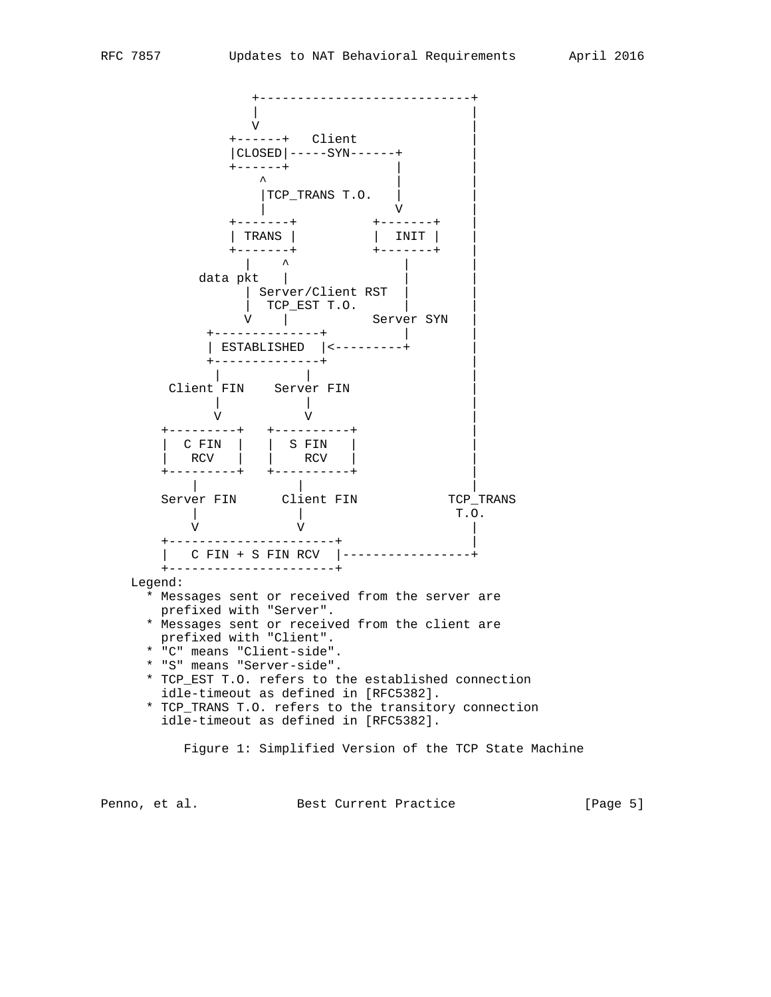

Penno, et al. Best Current Practice [Page 5]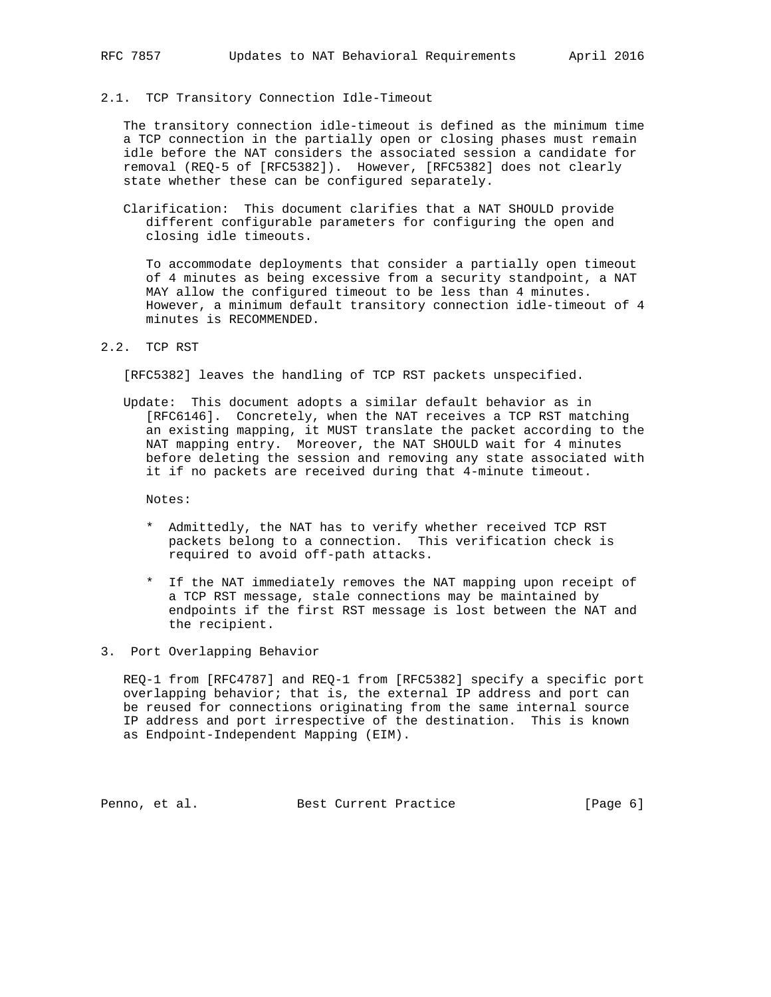#### 2.1. TCP Transitory Connection Idle-Timeout

 The transitory connection idle-timeout is defined as the minimum time a TCP connection in the partially open or closing phases must remain idle before the NAT considers the associated session a candidate for removal (REQ-5 of [RFC5382]). However, [RFC5382] does not clearly state whether these can be configured separately.

 Clarification: This document clarifies that a NAT SHOULD provide different configurable parameters for configuring the open and closing idle timeouts.

 To accommodate deployments that consider a partially open timeout of 4 minutes as being excessive from a security standpoint, a NAT MAY allow the configured timeout to be less than 4 minutes. However, a minimum default transitory connection idle-timeout of 4 minutes is RECOMMENDED.

# 2.2. TCP RST

[RFC5382] leaves the handling of TCP RST packets unspecified.

 Update: This document adopts a similar default behavior as in [RFC6146]. Concretely, when the NAT receives a TCP RST matching an existing mapping, it MUST translate the packet according to the NAT mapping entry. Moreover, the NAT SHOULD wait for 4 minutes before deleting the session and removing any state associated with it if no packets are received during that 4-minute timeout.

Notes:

- \* Admittedly, the NAT has to verify whether received TCP RST packets belong to a connection. This verification check is required to avoid off-path attacks.
- \* If the NAT immediately removes the NAT mapping upon receipt of a TCP RST message, stale connections may be maintained by endpoints if the first RST message is lost between the NAT and the recipient.
- 3. Port Overlapping Behavior

 REQ-1 from [RFC4787] and REQ-1 from [RFC5382] specify a specific port overlapping behavior; that is, the external IP address and port can be reused for connections originating from the same internal source IP address and port irrespective of the destination. This is known as Endpoint-Independent Mapping (EIM).

Penno, et al. Best Current Practice [Page 6]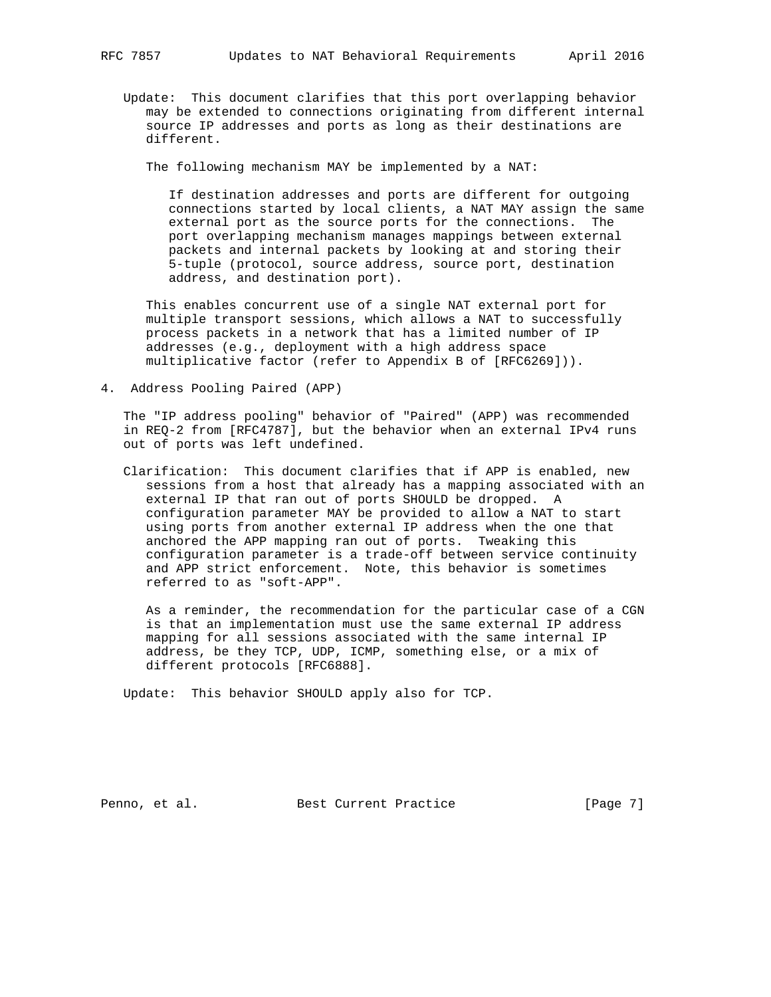Update: This document clarifies that this port overlapping behavior may be extended to connections originating from different internal source IP addresses and ports as long as their destinations are different.

The following mechanism MAY be implemented by a NAT:

 If destination addresses and ports are different for outgoing connections started by local clients, a NAT MAY assign the same external port as the source ports for the connections. The port overlapping mechanism manages mappings between external packets and internal packets by looking at and storing their 5-tuple (protocol, source address, source port, destination address, and destination port).

 This enables concurrent use of a single NAT external port for multiple transport sessions, which allows a NAT to successfully process packets in a network that has a limited number of IP addresses (e.g., deployment with a high address space multiplicative factor (refer to Appendix B of [RFC6269])).

4. Address Pooling Paired (APP)

 The "IP address pooling" behavior of "Paired" (APP) was recommended in REQ-2 from [RFC4787], but the behavior when an external IPv4 runs out of ports was left undefined.

 Clarification: This document clarifies that if APP is enabled, new sessions from a host that already has a mapping associated with an external IP that ran out of ports SHOULD be dropped. A configuration parameter MAY be provided to allow a NAT to start using ports from another external IP address when the one that anchored the APP mapping ran out of ports. Tweaking this configuration parameter is a trade-off between service continuity and APP strict enforcement. Note, this behavior is sometimes referred to as "soft-APP".

 As a reminder, the recommendation for the particular case of a CGN is that an implementation must use the same external IP address mapping for all sessions associated with the same internal IP address, be they TCP, UDP, ICMP, something else, or a mix of different protocols [RFC6888].

Update: This behavior SHOULD apply also for TCP.

Penno, et al. Best Current Practice [Page 7]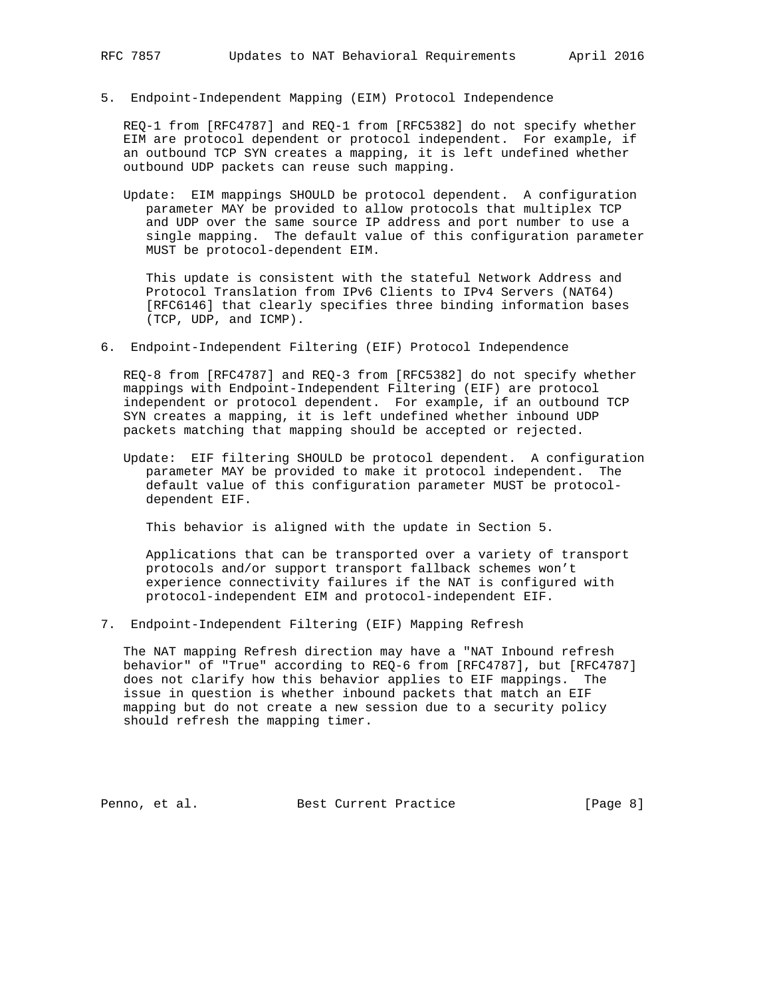5. Endpoint-Independent Mapping (EIM) Protocol Independence

 REQ-1 from [RFC4787] and REQ-1 from [RFC5382] do not specify whether EIM are protocol dependent or protocol independent. For example, if an outbound TCP SYN creates a mapping, it is left undefined whether outbound UDP packets can reuse such mapping.

 Update: EIM mappings SHOULD be protocol dependent. A configuration parameter MAY be provided to allow protocols that multiplex TCP and UDP over the same source IP address and port number to use a single mapping. The default value of this configuration parameter MUST be protocol-dependent EIM.

 This update is consistent with the stateful Network Address and Protocol Translation from IPv6 Clients to IPv4 Servers (NAT64) [RFC6146] that clearly specifies three binding information bases (TCP, UDP, and ICMP).

6. Endpoint-Independent Filtering (EIF) Protocol Independence

 REQ-8 from [RFC4787] and REQ-3 from [RFC5382] do not specify whether mappings with Endpoint-Independent Filtering (EIF) are protocol independent or protocol dependent. For example, if an outbound TCP SYN creates a mapping, it is left undefined whether inbound UDP packets matching that mapping should be accepted or rejected.

 Update: EIF filtering SHOULD be protocol dependent. A configuration parameter MAY be provided to make it protocol independent. The default value of this configuration parameter MUST be protocol dependent EIF.

This behavior is aligned with the update in Section 5.

 Applications that can be transported over a variety of transport protocols and/or support transport fallback schemes won't experience connectivity failures if the NAT is configured with protocol-independent EIM and protocol-independent EIF.

7. Endpoint-Independent Filtering (EIF) Mapping Refresh

 The NAT mapping Refresh direction may have a "NAT Inbound refresh behavior" of "True" according to REQ-6 from [RFC4787], but [RFC4787] does not clarify how this behavior applies to EIF mappings. The issue in question is whether inbound packets that match an EIF mapping but do not create a new session due to a security policy should refresh the mapping timer.

Penno, et al. Best Current Practice [Page 8]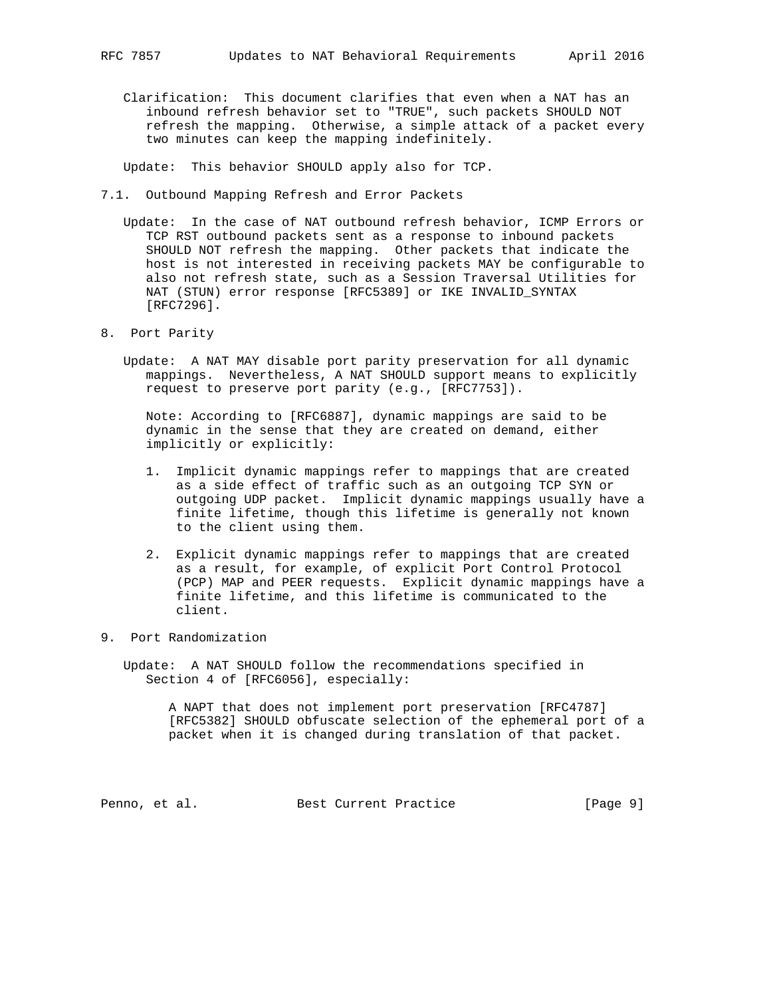Clarification: This document clarifies that even when a NAT has an inbound refresh behavior set to "TRUE", such packets SHOULD NOT refresh the mapping. Otherwise, a simple attack of a packet every two minutes can keep the mapping indefinitely.

Update: This behavior SHOULD apply also for TCP.

- 7.1. Outbound Mapping Refresh and Error Packets
	- Update: In the case of NAT outbound refresh behavior, ICMP Errors or TCP RST outbound packets sent as a response to inbound packets SHOULD NOT refresh the mapping. Other packets that indicate the host is not interested in receiving packets MAY be configurable to also not refresh state, such as a Session Traversal Utilities for NAT (STUN) error response [RFC5389] or IKE INVALID\_SYNTAX [RFC7296].
- 8. Port Parity
	- Update: A NAT MAY disable port parity preservation for all dynamic mappings. Nevertheless, A NAT SHOULD support means to explicitly request to preserve port parity (e.g., [RFC7753]).

 Note: According to [RFC6887], dynamic mappings are said to be dynamic in the sense that they are created on demand, either implicitly or explicitly:

- 1. Implicit dynamic mappings refer to mappings that are created as a side effect of traffic such as an outgoing TCP SYN or outgoing UDP packet. Implicit dynamic mappings usually have a finite lifetime, though this lifetime is generally not known to the client using them.
- 2. Explicit dynamic mappings refer to mappings that are created as a result, for example, of explicit Port Control Protocol (PCP) MAP and PEER requests. Explicit dynamic mappings have a finite lifetime, and this lifetime is communicated to the client.
- 9. Port Randomization

 Update: A NAT SHOULD follow the recommendations specified in Section 4 of [RFC6056], especially:

 A NAPT that does not implement port preservation [RFC4787] [RFC5382] SHOULD obfuscate selection of the ephemeral port of a packet when it is changed during translation of that packet.

Penno, et al. Best Current Practice [Page 9]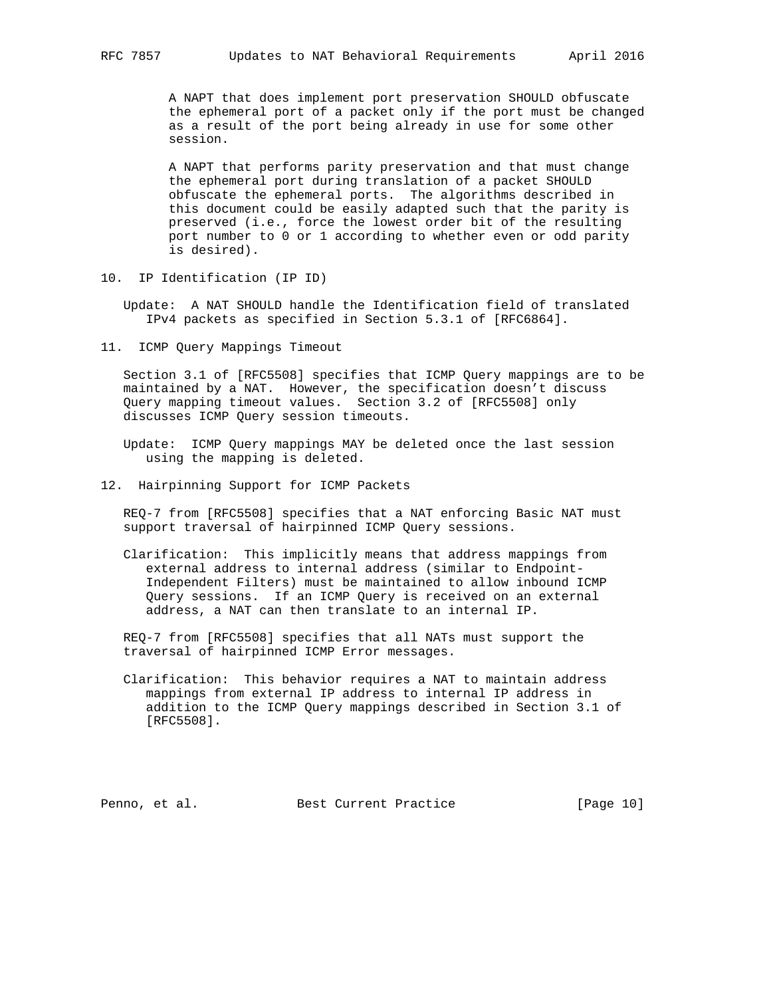A NAPT that does implement port preservation SHOULD obfuscate the ephemeral port of a packet only if the port must be changed as a result of the port being already in use for some other session.

 A NAPT that performs parity preservation and that must change the ephemeral port during translation of a packet SHOULD obfuscate the ephemeral ports. The algorithms described in this document could be easily adapted such that the parity is preserved (i.e., force the lowest order bit of the resulting port number to 0 or 1 according to whether even or odd parity is desired).

10. IP Identification (IP ID)

 Update: A NAT SHOULD handle the Identification field of translated IPv4 packets as specified in Section 5.3.1 of [RFC6864].

11. ICMP Query Mappings Timeout

 Section 3.1 of [RFC5508] specifies that ICMP Query mappings are to be maintained by a NAT. However, the specification doesn't discuss Query mapping timeout values. Section 3.2 of [RFC5508] only discusses ICMP Query session timeouts.

 Update: ICMP Query mappings MAY be deleted once the last session using the mapping is deleted.

12. Hairpinning Support for ICMP Packets

 REQ-7 from [RFC5508] specifies that a NAT enforcing Basic NAT must support traversal of hairpinned ICMP Query sessions.

 Clarification: This implicitly means that address mappings from external address to internal address (similar to Endpoint- Independent Filters) must be maintained to allow inbound ICMP Query sessions. If an ICMP Query is received on an external address, a NAT can then translate to an internal IP.

 REQ-7 from [RFC5508] specifies that all NATs must support the traversal of hairpinned ICMP Error messages.

 Clarification: This behavior requires a NAT to maintain address mappings from external IP address to internal IP address in addition to the ICMP Query mappings described in Section 3.1 of [RFC5508].

Penno, et al. Best Current Practice [Page 10]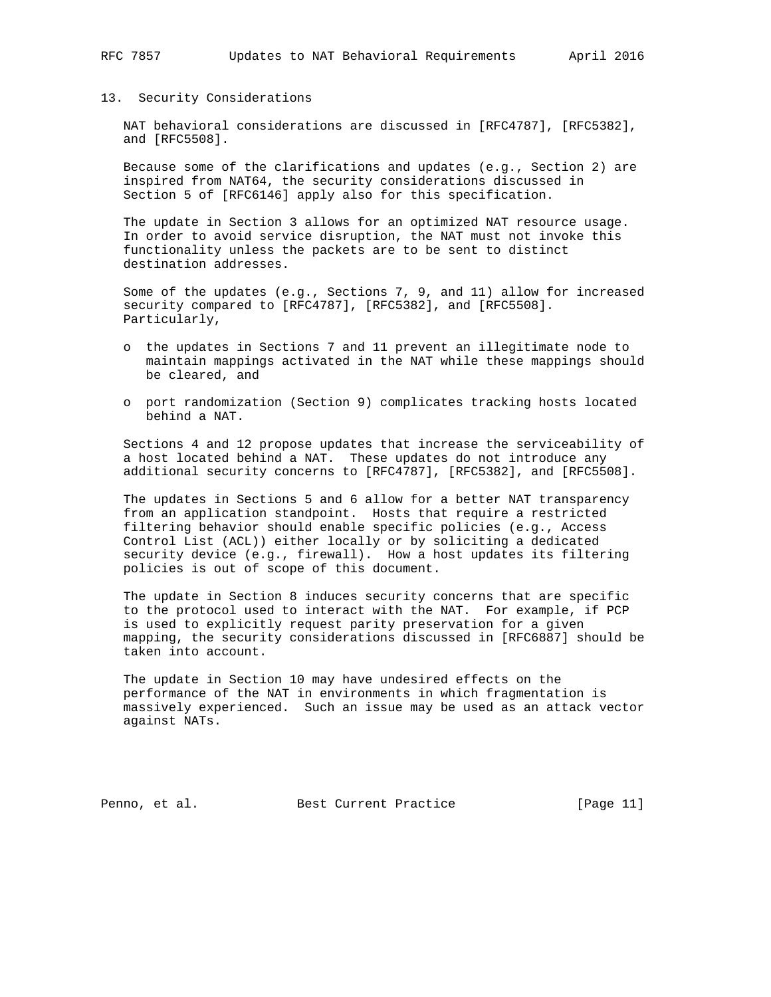#### 13. Security Considerations

 NAT behavioral considerations are discussed in [RFC4787], [RFC5382], and [RFC5508].

 Because some of the clarifications and updates (e.g., Section 2) are inspired from NAT64, the security considerations discussed in Section 5 of [RFC6146] apply also for this specification.

 The update in Section 3 allows for an optimized NAT resource usage. In order to avoid service disruption, the NAT must not invoke this functionality unless the packets are to be sent to distinct destination addresses.

 Some of the updates (e.g., Sections 7, 9, and 11) allow for increased security compared to [RFC4787], [RFC5382], and [RFC5508]. Particularly,

- o the updates in Sections 7 and 11 prevent an illegitimate node to maintain mappings activated in the NAT while these mappings should be cleared, and
- o port randomization (Section 9) complicates tracking hosts located behind a NAT.

 Sections 4 and 12 propose updates that increase the serviceability of a host located behind a NAT. These updates do not introduce any additional security concerns to [RFC4787], [RFC5382], and [RFC5508].

 The updates in Sections 5 and 6 allow for a better NAT transparency from an application standpoint. Hosts that require a restricted filtering behavior should enable specific policies (e.g., Access Control List (ACL)) either locally or by soliciting a dedicated security device (e.g., firewall). How a host updates its filtering policies is out of scope of this document.

 The update in Section 8 induces security concerns that are specific to the protocol used to interact with the NAT. For example, if PCP is used to explicitly request parity preservation for a given mapping, the security considerations discussed in [RFC6887] should be taken into account.

 The update in Section 10 may have undesired effects on the performance of the NAT in environments in which fragmentation is massively experienced. Such an issue may be used as an attack vector against NATs.

Penno, et al. Best Current Practice [Page 11]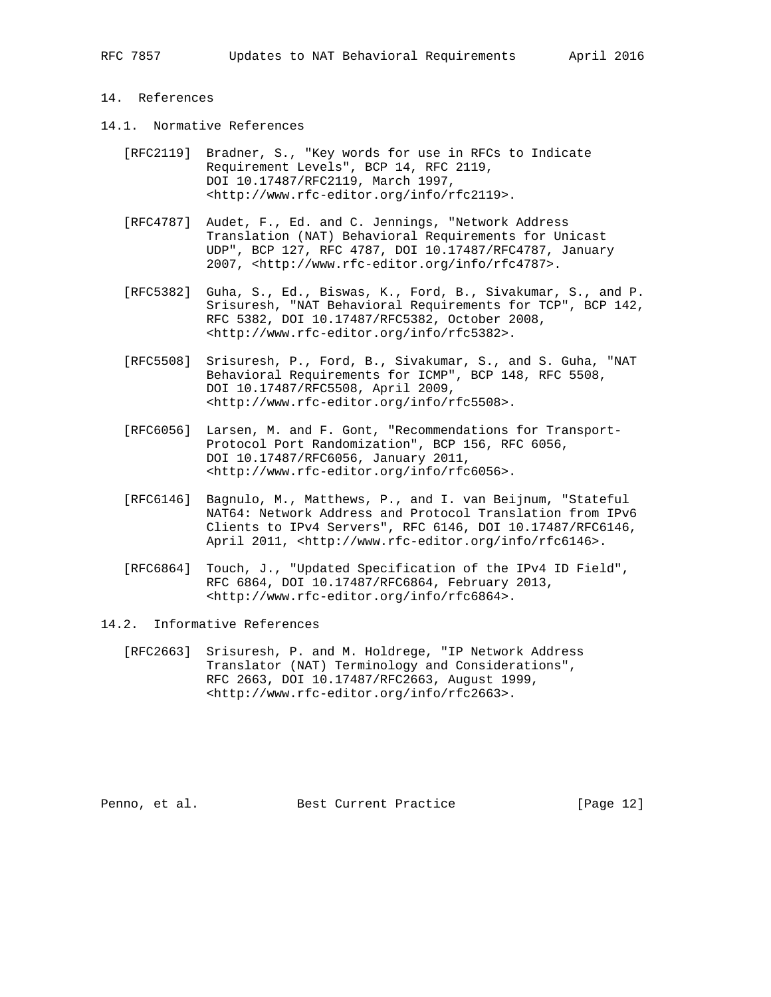### 14. References

- 14.1. Normative References
	- [RFC2119] Bradner, S., "Key words for use in RFCs to Indicate Requirement Levels", BCP 14, RFC 2119, DOI 10.17487/RFC2119, March 1997, <http://www.rfc-editor.org/info/rfc2119>.
	- [RFC4787] Audet, F., Ed. and C. Jennings, "Network Address Translation (NAT) Behavioral Requirements for Unicast UDP", BCP 127, RFC 4787, DOI 10.17487/RFC4787, January 2007, <http://www.rfc-editor.org/info/rfc4787>.
	- [RFC5382] Guha, S., Ed., Biswas, K., Ford, B., Sivakumar, S., and P. Srisuresh, "NAT Behavioral Requirements for TCP", BCP 142, RFC 5382, DOI 10.17487/RFC5382, October 2008, <http://www.rfc-editor.org/info/rfc5382>.
	- [RFC5508] Srisuresh, P., Ford, B., Sivakumar, S., and S. Guha, "NAT Behavioral Requirements for ICMP", BCP 148, RFC 5508, DOI 10.17487/RFC5508, April 2009, <http://www.rfc-editor.org/info/rfc5508>.
	- [RFC6056] Larsen, M. and F. Gont, "Recommendations for Transport- Protocol Port Randomization", BCP 156, RFC 6056, DOI 10.17487/RFC6056, January 2011, <http://www.rfc-editor.org/info/rfc6056>.
	- [RFC6146] Bagnulo, M., Matthews, P., and I. van Beijnum, "Stateful NAT64: Network Address and Protocol Translation from IPv6 Clients to IPv4 Servers", RFC 6146, DOI 10.17487/RFC6146, April 2011, <http://www.rfc-editor.org/info/rfc6146>.
	- [RFC6864] Touch, J., "Updated Specification of the IPv4 ID Field", RFC 6864, DOI 10.17487/RFC6864, February 2013, <http://www.rfc-editor.org/info/rfc6864>.
- 14.2. Informative References
	- [RFC2663] Srisuresh, P. and M. Holdrege, "IP Network Address Translator (NAT) Terminology and Considerations", RFC 2663, DOI 10.17487/RFC2663, August 1999, <http://www.rfc-editor.org/info/rfc2663>.

Penno, et al. Best Current Practice [Page 12]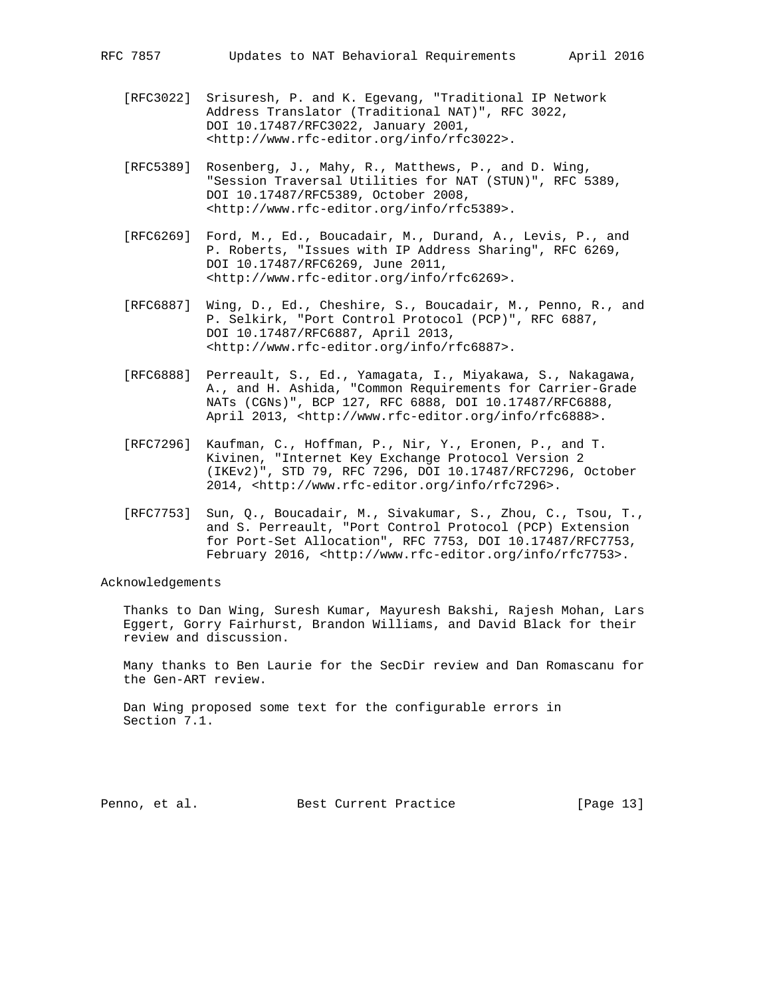- [RFC3022] Srisuresh, P. and K. Egevang, "Traditional IP Network Address Translator (Traditional NAT)", RFC 3022, DOI 10.17487/RFC3022, January 2001, <http://www.rfc-editor.org/info/rfc3022>.
- [RFC5389] Rosenberg, J., Mahy, R., Matthews, P., and D. Wing, "Session Traversal Utilities for NAT (STUN)", RFC 5389, DOI 10.17487/RFC5389, October 2008, <http://www.rfc-editor.org/info/rfc5389>.
- [RFC6269] Ford, M., Ed., Boucadair, M., Durand, A., Levis, P., and P. Roberts, "Issues with IP Address Sharing", RFC 6269, DOI 10.17487/RFC6269, June 2011, <http://www.rfc-editor.org/info/rfc6269>.
- [RFC6887] Wing, D., Ed., Cheshire, S., Boucadair, M., Penno, R., and P. Selkirk, "Port Control Protocol (PCP)", RFC 6887, DOI 10.17487/RFC6887, April 2013, <http://www.rfc-editor.org/info/rfc6887>.
- [RFC6888] Perreault, S., Ed., Yamagata, I., Miyakawa, S., Nakagawa, A., and H. Ashida, "Common Requirements for Carrier-Grade NATs (CGNs)", BCP 127, RFC 6888, DOI 10.17487/RFC6888, April 2013, <http://www.rfc-editor.org/info/rfc6888>.
- [RFC7296] Kaufman, C., Hoffman, P., Nir, Y., Eronen, P., and T. Kivinen, "Internet Key Exchange Protocol Version 2 (IKEv2)", STD 79, RFC 7296, DOI 10.17487/RFC7296, October 2014, <http://www.rfc-editor.org/info/rfc7296>.
- [RFC7753] Sun, Q., Boucadair, M., Sivakumar, S., Zhou, C., Tsou, T., and S. Perreault, "Port Control Protocol (PCP) Extension for Port-Set Allocation", RFC 7753, DOI 10.17487/RFC7753, February 2016, <http://www.rfc-editor.org/info/rfc7753>.

Acknowledgements

 Thanks to Dan Wing, Suresh Kumar, Mayuresh Bakshi, Rajesh Mohan, Lars Eggert, Gorry Fairhurst, Brandon Williams, and David Black for their review and discussion.

 Many thanks to Ben Laurie for the SecDir review and Dan Romascanu for the Gen-ART review.

 Dan Wing proposed some text for the configurable errors in Section 7.1.

Penno, et al. Best Current Practice [Page 13]